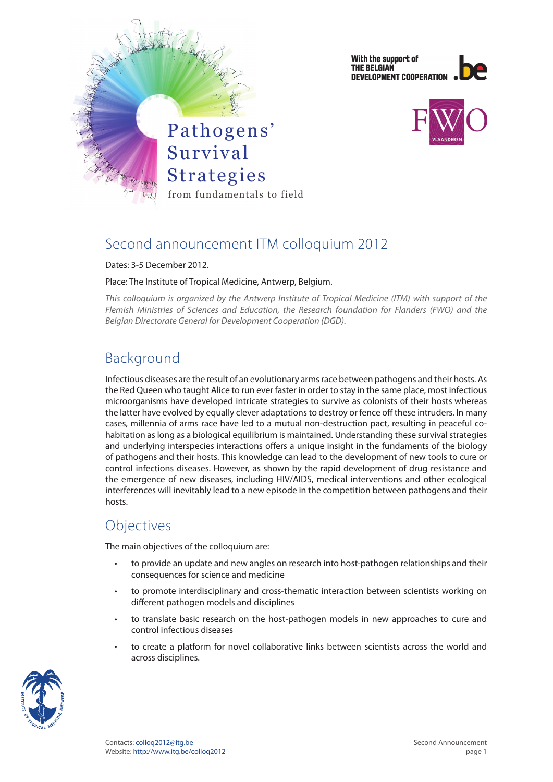With the support of THE BELGIAN DEVELOPMENT COOPERATION





## Second announcement ITM colloquium 2012

Dates: 3-5 December 2012.

#### Place: The Institute of Tropical Medicine, Antwerp, Belgium.

*This colloquium is organized by the Antwerp Institute of Tropical Medicine (ITM) with support of the Flemish Ministries of Sciences and Education, the Research foundation for Flanders (FWO) and the Belgian Directorate General for Development Cooperation (DGD).*

# Background

Infectious diseases are the result of an evolutionary arms race between pathogens and their hosts. As the Red Queen who taught Alice to run ever faster in order to stay in the same place, most infectious microorganisms have developed intricate strategies to survive as colonists of their hosts whereas the latter have evolved by equally clever adaptations to destroy or fence off these intruders. In many cases, millennia of arms race have led to a mutual non-destruction pact, resulting in peaceful cohabitation as long as a biological equilibrium is maintained. Understanding these survival strategies and underlying interspecies interactions offers a unique insight in the fundaments of the biology of pathogens and their hosts. This knowledge can lead to the development of new tools to cure or control infections diseases. However, as shown by the rapid development of drug resistance and the emergence of new diseases, including HIV/AIDS, medical interventions and other ecological interferences will inevitably lead to a new episode in the competition between pathogens and their hosts.

## **Objectives**

The main objectives of the colloquium are:

- to provide an update and new angles on research into host-pathogen relationships and their consequences for science and medicine
- to promote interdisciplinary and cross-thematic interaction between scientists working on different pathogen models and disciplines
- to translate basic research on the host-pathogen models in new approaches to cure and control infectious diseases
- to create a platform for novel collaborative links between scientists across the world and across disciplines.

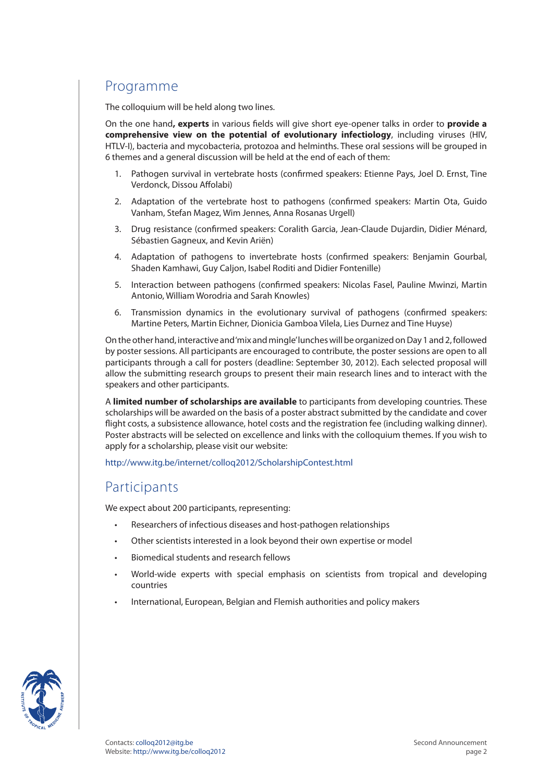# Programme

The colloquium will be held along two lines.

On the one hand**, experts** in various fields will give short eye-opener talks in order to **provide a comprehensive view on the potential of evolutionary infectiology**, including viruses (HIV, HTLV-I), bacteria and mycobacteria, protozoa and helminths. These oral sessions will be grouped in 6 themes and a general discussion will be held at the end of each of them:

- 1. Pathogen survival in vertebrate hosts (confirmed speakers: Etienne Pays, Joel D. Ernst, Tine Verdonck, Dissou Affolabi)
- 2. Adaptation of the vertebrate host to pathogens (confirmed speakers: Martin Ota, Guido Vanham, Stefan Magez, Wim Jennes, Anna Rosanas Urgell)
- 3. Drug resistance (confirmed speakers: Coralith Garcia, Jean-Claude Dujardin, Didier Ménard, Sébastien Gagneux, and Kevin Ariën)
- 4. Adaptation of pathogens to invertebrate hosts (confirmed speakers: Benjamin Gourbal, Shaden Kamhawi, Guy Caljon, Isabel Roditi and Didier Fontenille)
- 5. Interaction between pathogens (confirmed speakers: Nicolas Fasel, Pauline Mwinzi, Martin Antonio, William Worodria and Sarah Knowles)
- 6. Transmission dynamics in the evolutionary survival of pathogens (confirmed speakers: Martine Peters, Martin Eichner, Dionicia Gamboa Vilela, Lies Durnez and Tine Huyse)

On the other hand, interactive and 'mix and mingle' lunches will be organized on Day 1 and 2, followed by poster sessions. All participants are encouraged to contribute, the poster sessions are open to all participants through a call for posters (deadline: September 30, 2012). Each selected proposal will allow the submitting research groups to present their main research lines and to interact with the speakers and other participants.

A **limited number of scholarships are available** to participants from developing countries. These scholarships will be awarded on the basis of a poster abstract submitted by the candidate and cover flight costs, a subsistence allowance, hotel costs and the registration fee (including walking dinner). Poster abstracts will be selected on excellence and links with the colloquium themes. If you wish to apply for a scholarship, please visit our website:

<http://www.itg.be/internet/colloq2012/ScholarshipContest.html>

### Participants

We expect about 200 participants, representing:

- Researchers of infectious diseases and host-pathogen relationships
- • Other scientists interested in a look beyond their own expertise or model
- Biomedical students and research fellows
- World-wide experts with special emphasis on scientists from tropical and developing countries
- International, European, Belgian and Flemish authorities and policy makers